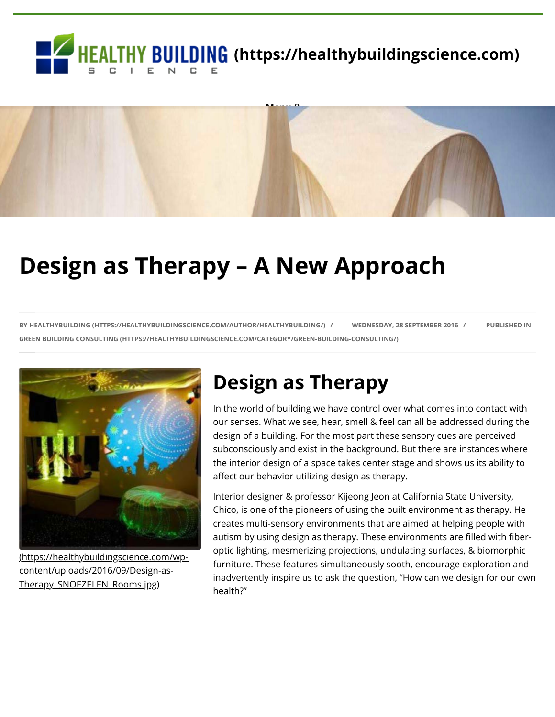



# **Design as Therapy – A New Approach**

**BY [HEALTHYBUILDING \(HTTPS://HEALTHYBUILDINGSCIENCE.COM/AUTHOR/HEALTHYBUILDING/\)](https://healthybuildingscience.com/author/healthybuilding/) / WEDNESDAY, 28 SEPTEMBER 2016 / PUBLISHED IN [GREEN BUILDING CONSULTING \(HTTPS://HEALTHYBUILDINGSCIENCE.COM/CATEGORY/GREEN-BUILDING-CONSULTING/\)](https://healthybuildingscience.com/category/green-building-consulting/)**



[\(https://healthybuildingscience.com/wp](https://healthybuildingscience.com/wp-content/uploads/2016/09/Design-as-Therapy_SNOEZELEN_Rooms.jpg)content/uploads/2016/09/Design-as-Therapy\_SNOEZELEN\_Rooms.jpg)

## **Design as Therapy**

In the world of building we have control over what comes into contact with our senses. What we see, hear, smell & feel can all be addressed during the design of a building. For the most part these sensory cues are perceived subconsciously and exist in the background. But there are instances where the interior design of a space takes center stage and shows us its ability to affect our behavior utilizing design as therapy.

Interior designer & professor Kijeong Jeon at California State University, Chico, is one of the pioneers of using the built environment as therapy. He creates multi-sensory environments that are aimed at helping people with autism by using design as therapy. These environments are filled with fiberoptic lighting, mesmerizing projections, undulating surfaces, & biomorphic furniture. These features simultaneously sooth, encourage exploration and inadvertently inspire us to ask the question, "How can we design for our own health?"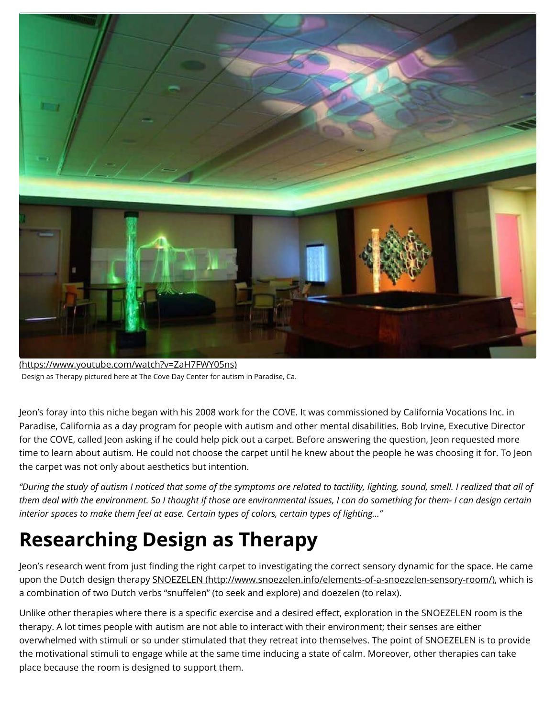

[\(https://www.youtube.com/watch?v=ZaH7FWY05ns\)](https://www.youtube.com/watch?v=ZaH7FWY05ns) Design as Therapy pictured here at The Cove Day Center for autism in Paradise, Ca.

Jeon's foray into this niche began with his 2008 work for the COVE. It was commissioned by California Vocations Inc. in Paradise, California as a day program for people with autism and other mental disabilities. Bob Irvine, Executive Director for the COVE, called Jeon asking if he could help pick out a carpet. Before answering the question, Jeon requested more time to learn about autism. He could not choose the carpet until he knew about the people he was choosing it for. To Jeon the carpet was not only about aesthetics but intention.

*"During the study of autism I noticed that some of the symptoms are related to tactility, lighting, sound, smell. I realized that all of them deal with the environment. So I thought if those are environmental issues, I can do something for them- I can design certain interior spaces to make them feel at ease. Certain types of colors, certain types of lighting…"*

# **Researching Design as Therapy**

Jeon's research went from just finding the right carpet to investigating the correct sensory dynamic for the space. He came upon the Dutch design therapy [SNOEZELEN \(http://www.snoezelen.info/elements-of-a-snoezelen-sensory-room/\),](http://www.snoezelen.info/elements-of-a-snoezelen-sensory-room/) which is a combination of two Dutch verbs "snuffelen" (to seek and explore) and doezelen (to relax).

Unlike other therapies where there is a specific exercise and a desired effect, exploration in the SNOEZELEN room is the therapy. A lot times people with autism are not able to interact with their environment; their senses are either overwhelmed with stimuli or so under stimulated that they retreat into themselves. The point of SNOEZELEN is to provide the motivational stimuli to engage while at the same time inducing a state of calm. Moreover, other therapies can take place because the room is designed to support them.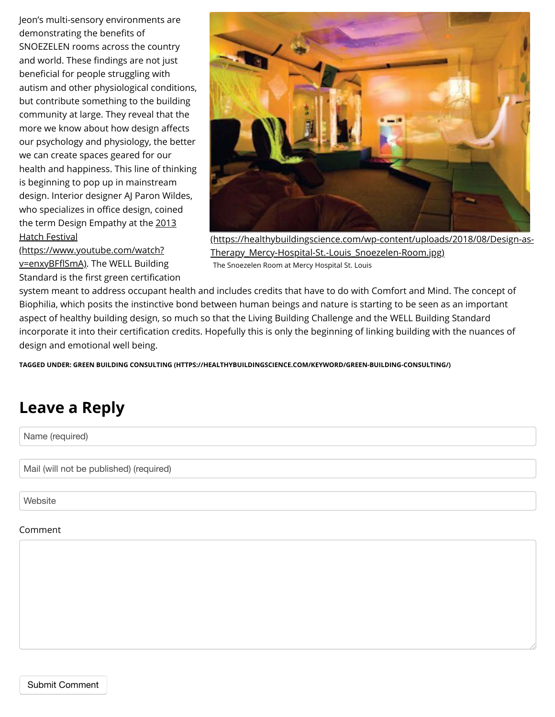Jeon's multi-sensory environments are demonstrating the benefits of SNOEZELEN rooms across the country and world. These findings are not just beneficial for people struggling with autism and other physiological conditions, but contribute something to the building community at large. They reveal that the more we know about how design affects our psychology and physiology, the better we can create spaces geared for our health and happiness. This line of thinking is beginning to pop up in mainstream design. Interior designer AJ Paron Wildes, who specializes in office design, coined [the term Design Empathy at the 2013](https://www.youtube.com/watch?v=enxyBFflSmA) Hatch Festival



(https://www.youtube.com/watch? v=enxyBFflSmA). The WELL Building Standard is the first green certification

[\(https://healthybuildingscience.com/wp-content/uploads/2018/08/Design-as-](https://healthybuildingscience.com/wp-content/uploads/2018/08/Design-as-Therapy_Mercy-Hospital-St.-Louis_Snoezelen-Room.jpg)Therapy Mercy-Hospital-St.-Louis Snoezelen-Room.jpg) The Snoezelen Room at Mercy Hospital St. Louis

system meant to address occupant health and includes credits that have to do with Comfort and Mind. The concept of Biophilia, which posits the instinctive bond between human beings and nature is starting to be seen as an important aspect of healthy building design, so much so that the Living Building Challenge and the WELL Building Standard incorporate it into their certification credits. Hopefully this is only the beginning of linking building with the nuances of design and emotional well being.

**TAGGED UNDER: [GREEN BUILDING CONSULTING \(HTTPS://HEALTHYBUILDINGSCIENCE.COM/KEYWORD/GREEN-BUILDING-CONSULTING/\)](https://healthybuildingscience.com/keyword/green-building-consulting/)**

## **Leave a Reply**

Name (required)

Mail (will not be published) (required)

**Website** 

#### Comment